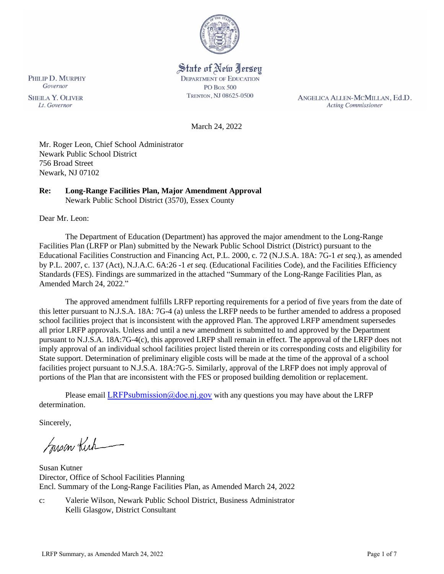

# State of New Jersey

**DEPARTMENT OF EDUCATION** PO Box 500 TRENTON, NJ 08625-0500

ANGELICA ALLEN-MCMILLAN, Ed.D. **Acting Commissioner** 

March 24, 2022

Mr. Roger Leon, Chief School Administrator Newark Public School District 756 Broad Street Newark, NJ 07102

# **Re: Long-Range Facilities Plan, Major Amendment Approval**

Newark Public School District (3570), Essex County

Dear Mr. Leon:

The Department of Education (Department) has approved the major amendment to the Long-Range Facilities Plan (LRFP or Plan) submitted by the Newark Public School District (District) pursuant to the Educational Facilities Construction and Financing Act, P.L. 2000, c. 72 (N.J.S.A. 18A: 7G-1 *et seq.*), as amended by P.L. 2007, c. 137 (Act), N.J.A.C. 6A:26 -1 *et seq.* (Educational Facilities Code), and the Facilities Efficiency Standards (FES). Findings are summarized in the attached "Summary of the Long-Range Facilities Plan, as Amended March 24, 2022."

The approved amendment fulfills LRFP reporting requirements for a period of five years from the date of this letter pursuant to N.J.S.A. 18A: 7G-4 (a) unless the LRFP needs to be further amended to address a proposed school facilities project that is inconsistent with the approved Plan. The approved LRFP amendment supersedes all prior LRFP approvals. Unless and until a new amendment is submitted to and approved by the Department pursuant to N.J.S.A. 18A:7G-4(c), this approved LRFP shall remain in effect. The approval of the LRFP does not imply approval of an individual school facilities project listed therein or its corresponding costs and eligibility for State support. Determination of preliminary eligible costs will be made at the time of the approval of a school facilities project pursuant to N.J.S.A. 18A:7G-5. Similarly, approval of the LRFP does not imply approval of portions of the Plan that are inconsistent with the FES or proposed building demolition or replacement.

Please email LRFPsubmission  $@doen$  i.gov with any questions you may have about the LRFP determination.

Sincerely,

Susan Kich

Susan Kutner Director, Office of School Facilities Planning Encl. Summary of the Long-Range Facilities Plan, as Amended March 24, 2022

c: Valerie Wilson, Newark Public School District, Business Administrator Kelli Glasgow, District Consultant

PHILIP D. MURPHY Governor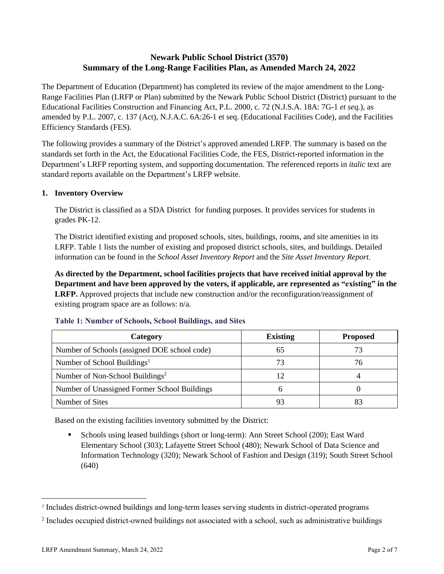# **Newark Public School District (3570) Summary of the Long-Range Facilities Plan, as Amended March 24, 2022**

The Department of Education (Department) has completed its review of the major amendment to the Long-Range Facilities Plan (LRFP or Plan) submitted by the Newark Public School District (District) pursuant to the Educational Facilities Construction and Financing Act, P.L. 2000, c. 72 (N.J.S.A. 18A: 7G-1 *et seq.*), as amended by P.L. 2007, c. 137 (Act), N.J.A.C. 6A:26-1 et seq. (Educational Facilities Code), and the Facilities Efficiency Standards (FES).

The following provides a summary of the District's approved amended LRFP. The summary is based on the standards set forth in the Act, the Educational Facilities Code, the FES, District-reported information in the Department's LRFP reporting system, and supporting documentation. The referenced reports in *italic* text are standard reports available on the Department's LRFP website.

# **1. Inventory Overview**

The District is classified as a SDA District for funding purposes. It provides services for students in grades PK-12.

The District identified existing and proposed schools, sites, buildings, rooms, and site amenities in its LRFP. Table 1 lists the number of existing and proposed district schools, sites, and buildings. Detailed information can be found in the *School Asset Inventory Report* and the *Site Asset Inventory Report.*

**As directed by the Department, school facilities projects that have received initial approval by the Department and have been approved by the voters, if applicable, are represented as "existing" in the LRFP.** Approved projects that include new construction and/or the reconfiguration/reassignment of existing program space are as follows: n/a.

| Category                                     | <b>Existing</b> | <b>Proposed</b> |
|----------------------------------------------|-----------------|-----------------|
| Number of Schools (assigned DOE school code) | 65              | 73              |
| Number of School Buildings <sup>1</sup>      | 73              | 76              |
| Number of Non-School Buildings <sup>2</sup>  |                 |                 |
| Number of Unassigned Former School Buildings |                 |                 |
| Number of Sites                              |                 |                 |

#### **Table 1: Number of Schools, School Buildings, and Sites**

Based on the existing facilities inventory submitted by the District:

Schools using leased buildings (short or long-term): Ann Street School (200); East Ward Elementary School (303); Lafayette Street School (480); Newark School of Data Science and Information Technology (320); Newark School of Fashion and Design (319); South Street School (640)

*<sup>1</sup>* Includes district-owned buildings and long-term leases serving students in district-operated programs

<sup>&</sup>lt;sup>2</sup> Includes occupied district-owned buildings not associated with a school, such as administrative buildings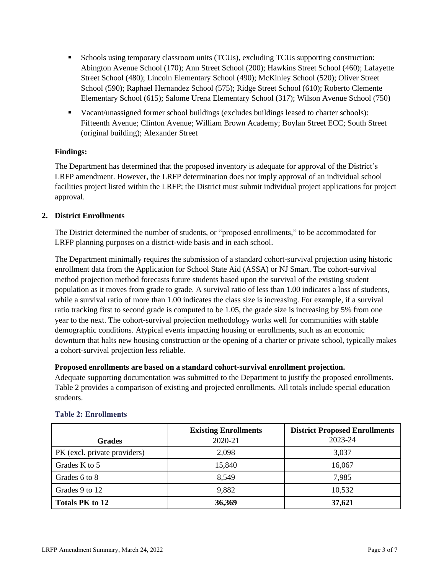- Schools using temporary classroom units (TCUs), excluding TCUs supporting construction: Abington Avenue School (170); Ann Street School (200); Hawkins Street School (460); Lafayette Street School (480); Lincoln Elementary School (490); McKinley School (520); Oliver Street School (590); Raphael Hernandez School (575); Ridge Street School (610); Roberto Clemente Elementary School (615); Salome Urena Elementary School (317); Wilson Avenue School (750)
- Vacant/unassigned former school buildings (excludes buildings leased to charter schools): Fifteenth Avenue; Clinton Avenue; William Brown Academy; Boylan Street ECC; South Street (original building); Alexander Street

# **Findings:**

The Department has determined that the proposed inventory is adequate for approval of the District's LRFP amendment. However, the LRFP determination does not imply approval of an individual school facilities project listed within the LRFP; the District must submit individual project applications for project approval.

#### **2. District Enrollments**

The District determined the number of students, or "proposed enrollments," to be accommodated for LRFP planning purposes on a district-wide basis and in each school.

The Department minimally requires the submission of a standard cohort-survival projection using historic enrollment data from the Application for School State Aid (ASSA) or NJ Smart. The cohort-survival method projection method forecasts future students based upon the survival of the existing student population as it moves from grade to grade. A survival ratio of less than 1.00 indicates a loss of students, while a survival ratio of more than 1.00 indicates the class size is increasing. For example, if a survival ratio tracking first to second grade is computed to be 1.05, the grade size is increasing by 5% from one year to the next. The cohort-survival projection methodology works well for communities with stable demographic conditions. Atypical events impacting housing or enrollments, such as an economic downturn that halts new housing construction or the opening of a charter or private school, typically makes a cohort-survival projection less reliable.

#### **Proposed enrollments are based on a standard cohort-survival enrollment projection.**

Adequate supporting documentation was submitted to the Department to justify the proposed enrollments. Table 2 provides a comparison of existing and projected enrollments. All totals include special education students.

|                              | <b>Existing Enrollments</b> | <b>District Proposed Enrollments</b> |
|------------------------------|-----------------------------|--------------------------------------|
| <b>Grades</b>                | 2020-21                     | 2023-24                              |
| PK (excl. private providers) | 2,098                       | 3,037                                |
| Grades K to 5                | 15,840                      | 16,067                               |
| Grades 6 to 8                | 8.549                       | 7,985                                |
| Grades 9 to 12               | 9,882                       | 10,532                               |
| <b>Totals PK to 12</b>       | 36,369                      | 37,621                               |

#### **Table 2: Enrollments**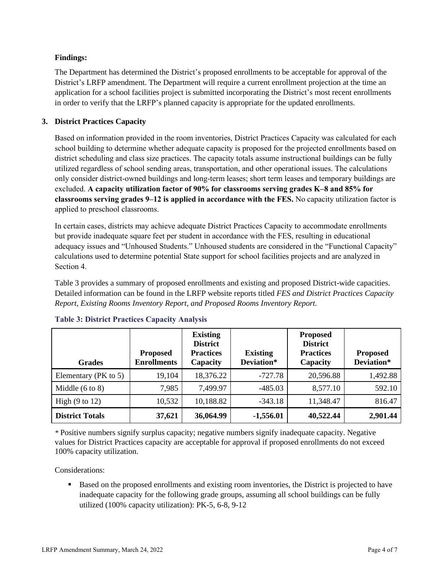# **Findings:**

The Department has determined the District's proposed enrollments to be acceptable for approval of the District's LRFP amendment. The Department will require a current enrollment projection at the time an application for a school facilities project is submitted incorporating the District's most recent enrollments in order to verify that the LRFP's planned capacity is appropriate for the updated enrollments.

# **3. District Practices Capacity**

Based on information provided in the room inventories, District Practices Capacity was calculated for each school building to determine whether adequate capacity is proposed for the projected enrollments based on district scheduling and class size practices. The capacity totals assume instructional buildings can be fully utilized regardless of school sending areas, transportation, and other operational issues. The calculations only consider district-owned buildings and long-term leases; short term leases and temporary buildings are excluded. **A capacity utilization factor of 90% for classrooms serving grades K–8 and 85% for classrooms serving grades 9–12 is applied in accordance with the FES.** No capacity utilization factor is applied to preschool classrooms.

In certain cases, districts may achieve adequate District Practices Capacity to accommodate enrollments but provide inadequate square feet per student in accordance with the FES, resulting in educational adequacy issues and "Unhoused Students." Unhoused students are considered in the "Functional Capacity" calculations used to determine potential State support for school facilities projects and are analyzed in Section 4.

Table 3 provides a summary of proposed enrollments and existing and proposed District-wide capacities. Detailed information can be found in the LRFP website reports titled *FES and District Practices Capacity Report, Existing Rooms Inventory Report, and Proposed Rooms Inventory Report.*

| <b>Grades</b>              | <b>Proposed</b><br><b>Enrollments</b> | <b>Existing</b><br><b>District</b><br><b>Practices</b><br>Capacity | <b>Existing</b><br>Deviation* | <b>Proposed</b><br><b>District</b><br><b>Practices</b><br>Capacity | <b>Proposed</b><br>Deviation* |
|----------------------------|---------------------------------------|--------------------------------------------------------------------|-------------------------------|--------------------------------------------------------------------|-------------------------------|
| Elementary ( $PK$ to 5)    | 19,104                                | 18,376.22                                                          | $-727.78$                     | 20,596.88                                                          | 1,492.88                      |
| Middle $(6 \text{ to } 8)$ | 7,985                                 | 7,499.97                                                           | $-485.03$                     | 8,577.10                                                           | 592.10                        |
| High $(9 \text{ to } 12)$  | 10,532                                | 10,188.82                                                          | $-343.18$                     | 11,348.47                                                          | 816.47                        |
| <b>District Totals</b>     | 37,621                                | 36,064.99                                                          | $-1,556.01$                   | 40,522.44                                                          | 2,901.44                      |

# **Table 3: District Practices Capacity Analysis**

*\** Positive numbers signify surplus capacity; negative numbers signify inadequate capacity. Negative values for District Practices capacity are acceptable for approval if proposed enrollments do not exceed 100% capacity utilization.

Considerations:

■ Based on the proposed enrollments and existing room inventories, the District is projected to have inadequate capacity for the following grade groups, assuming all school buildings can be fully utilized (100% capacity utilization): PK-5, 6-8, 9-12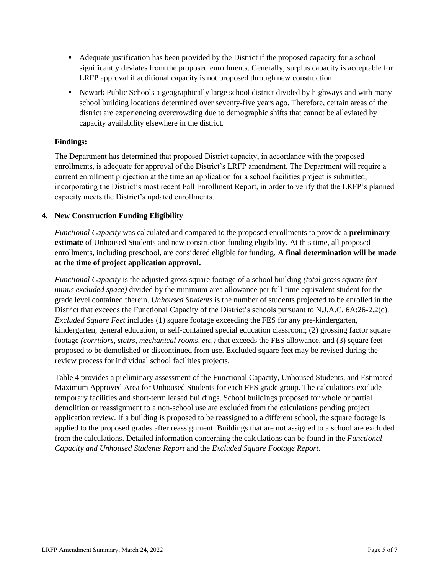- Adequate justification has been provided by the District if the proposed capacity for a school significantly deviates from the proposed enrollments. Generally, surplus capacity is acceptable for LRFP approval if additional capacity is not proposed through new construction.
- **EXECUTE:** Newark Public Schools a geographically large school district divided by highways and with many school building locations determined over seventy-five years ago. Therefore, certain areas of the district are experiencing overcrowding due to demographic shifts that cannot be alleviated by capacity availability elsewhere in the district.

#### **Findings:**

The Department has determined that proposed District capacity, in accordance with the proposed enrollments, is adequate for approval of the District's LRFP amendment. The Department will require a current enrollment projection at the time an application for a school facilities project is submitted, incorporating the District's most recent Fall Enrollment Report, in order to verify that the LRFP's planned capacity meets the District's updated enrollments.

#### **4. New Construction Funding Eligibility**

*Functional Capacity* was calculated and compared to the proposed enrollments to provide a **preliminary estimate** of Unhoused Students and new construction funding eligibility. At this time, all proposed enrollments, including preschool, are considered eligible for funding. **A final determination will be made at the time of project application approval.**

*Functional Capacity* is the adjusted gross square footage of a school building *(total gross square feet minus excluded space)* divided by the minimum area allowance per full-time equivalent student for the grade level contained therein. *Unhoused Students* is the number of students projected to be enrolled in the District that exceeds the Functional Capacity of the District's schools pursuant to N.J.A.C. 6A:26-2.2(c). *Excluded Square Feet* includes (1) square footage exceeding the FES for any pre-kindergarten, kindergarten, general education, or self-contained special education classroom; (2) grossing factor square footage *(corridors, stairs, mechanical rooms, etc.)* that exceeds the FES allowance, and (3) square feet proposed to be demolished or discontinued from use. Excluded square feet may be revised during the review process for individual school facilities projects.

Table 4 provides a preliminary assessment of the Functional Capacity, Unhoused Students, and Estimated Maximum Approved Area for Unhoused Students for each FES grade group. The calculations exclude temporary facilities and short-term leased buildings. School buildings proposed for whole or partial demolition or reassignment to a non-school use are excluded from the calculations pending project application review. If a building is proposed to be reassigned to a different school, the square footage is applied to the proposed grades after reassignment. Buildings that are not assigned to a school are excluded from the calculations. Detailed information concerning the calculations can be found in the *Functional Capacity and Unhoused Students Report* and the *Excluded Square Footage Report.*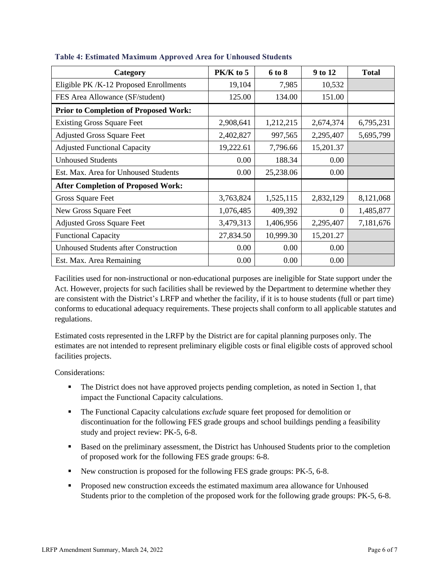| Category                                     | $PK/K$ to 5 | 6 to 8    | 9 to 12   | <b>Total</b> |
|----------------------------------------------|-------------|-----------|-----------|--------------|
| Eligible PK /K-12 Proposed Enrollments       | 19,104      | 7,985     | 10,532    |              |
| FES Area Allowance (SF/student)              | 125.00      | 134.00    | 151.00    |              |
| <b>Prior to Completion of Proposed Work:</b> |             |           |           |              |
| <b>Existing Gross Square Feet</b>            | 2,908,641   | 1,212,215 | 2,674,374 | 6,795,231    |
| <b>Adjusted Gross Square Feet</b>            | 2,402,827   | 997,565   | 2,295,407 | 5,695,799    |
| <b>Adjusted Functional Capacity</b>          | 19,222.61   | 7,796.66  | 15,201.37 |              |
| <b>Unhoused Students</b>                     | 0.00        | 188.34    | 0.00      |              |
| Est. Max. Area for Unhoused Students         | 0.00        | 25,238.06 | 0.00      |              |
| <b>After Completion of Proposed Work:</b>    |             |           |           |              |
| Gross Square Feet                            | 3,763,824   | 1,525,115 | 2,832,129 | 8,121,068    |
| New Gross Square Feet                        | 1,076,485   | 409,392   | $\Omega$  | 1,485,877    |
| <b>Adjusted Gross Square Feet</b>            | 3,479,313   | 1,406,956 | 2,295,407 | 7,181,676    |
| <b>Functional Capacity</b>                   | 27,834.50   | 10,999.30 | 15,201.27 |              |
| <b>Unhoused Students after Construction</b>  | 0.00        | 0.00      | 0.00      |              |
| Est. Max. Area Remaining                     | 0.00        | 0.00      | 0.00      |              |

#### **Table 4: Estimated Maximum Approved Area for Unhoused Students**

Facilities used for non-instructional or non-educational purposes are ineligible for State support under the Act. However, projects for such facilities shall be reviewed by the Department to determine whether they are consistent with the District's LRFP and whether the facility, if it is to house students (full or part time) conforms to educational adequacy requirements. These projects shall conform to all applicable statutes and regulations.

Estimated costs represented in the LRFP by the District are for capital planning purposes only. The estimates are not intended to represent preliminary eligible costs or final eligible costs of approved school facilities projects.

Considerations:

- The District does not have approved projects pending completion, as noted in Section 1, that impact the Functional Capacity calculations.
- **The Functional Capacity calculations** *exclude* square feet proposed for demolition or discontinuation for the following FES grade groups and school buildings pending a feasibility study and project review: PK-5, 6-8.
- **Based on the preliminary assessment, the District has Unhoused Students prior to the completion** of proposed work for the following FES grade groups: 6-8.
- New construction is proposed for the following FES grade groups: PK-5, 6-8.
- Proposed new construction exceeds the estimated maximum area allowance for Unhoused Students prior to the completion of the proposed work for the following grade groups: PK-5, 6-8.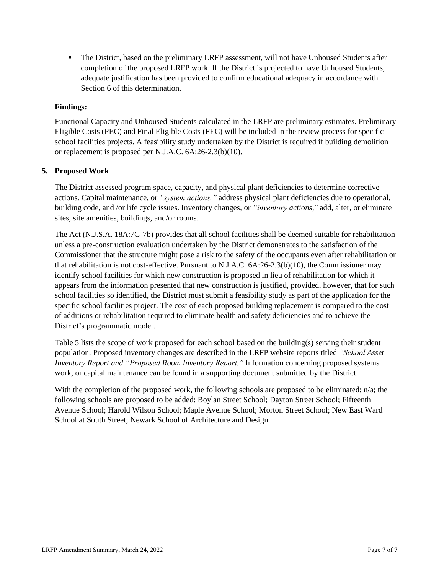**• The District, based on the preliminary LRFP assessment, will not have Unhoused Students after** completion of the proposed LRFP work. If the District is projected to have Unhoused Students, adequate justification has been provided to confirm educational adequacy in accordance with Section 6 of this determination.

## **Findings:**

Functional Capacity and Unhoused Students calculated in the LRFP are preliminary estimates. Preliminary Eligible Costs (PEC) and Final Eligible Costs (FEC) will be included in the review process for specific school facilities projects. A feasibility study undertaken by the District is required if building demolition or replacement is proposed per N.J.A.C. 6A:26-2.3(b)(10).

#### **5. Proposed Work**

The District assessed program space, capacity, and physical plant deficiencies to determine corrective actions. Capital maintenance, or *"system actions,"* address physical plant deficiencies due to operational, building code, and /or life cycle issues. Inventory changes, or *"inventory actions,*" add, alter, or eliminate sites, site amenities, buildings, and/or rooms.

The Act (N.J.S.A. 18A:7G-7b) provides that all school facilities shall be deemed suitable for rehabilitation unless a pre-construction evaluation undertaken by the District demonstrates to the satisfaction of the Commissioner that the structure might pose a risk to the safety of the occupants even after rehabilitation or that rehabilitation is not cost-effective. Pursuant to N.J.A.C. 6A:26-2.3(b)(10), the Commissioner may identify school facilities for which new construction is proposed in lieu of rehabilitation for which it appears from the information presented that new construction is justified, provided, however, that for such school facilities so identified, the District must submit a feasibility study as part of the application for the specific school facilities project. The cost of each proposed building replacement is compared to the cost of additions or rehabilitation required to eliminate health and safety deficiencies and to achieve the District's programmatic model.

Table 5 lists the scope of work proposed for each school based on the building(s) serving their student population. Proposed inventory changes are described in the LRFP website reports titled *"School Asset Inventory Report and "Proposed Room Inventory Report."* Information concerning proposed systems work, or capital maintenance can be found in a supporting document submitted by the District.

With the completion of the proposed work, the following schools are proposed to be eliminated: n/a; the following schools are proposed to be added: Boylan Street School; Dayton Street School; Fifteenth Avenue School; Harold Wilson School; Maple Avenue School; Morton Street School; New East Ward School at South Street; Newark School of Architecture and Design.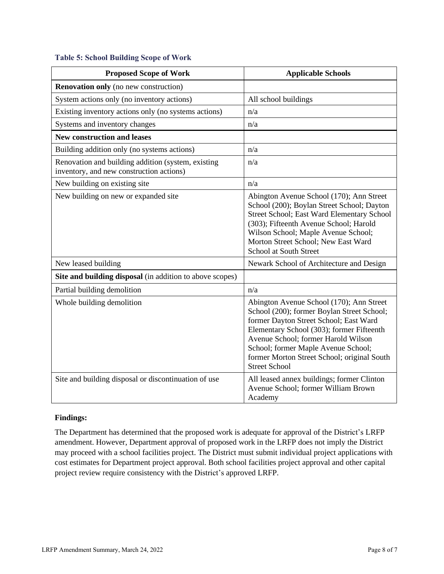#### **Table 5: School Building Scope of Work**

| <b>Proposed Scope of Work</b>                                                                  | <b>Applicable Schools</b>                                                                                                                                                                                                                                                                                                          |
|------------------------------------------------------------------------------------------------|------------------------------------------------------------------------------------------------------------------------------------------------------------------------------------------------------------------------------------------------------------------------------------------------------------------------------------|
| <b>Renovation only</b> (no new construction)                                                   |                                                                                                                                                                                                                                                                                                                                    |
| System actions only (no inventory actions)                                                     | All school buildings                                                                                                                                                                                                                                                                                                               |
| Existing inventory actions only (no systems actions)                                           | n/a                                                                                                                                                                                                                                                                                                                                |
| Systems and inventory changes                                                                  | n/a                                                                                                                                                                                                                                                                                                                                |
| <b>New construction and leases</b>                                                             |                                                                                                                                                                                                                                                                                                                                    |
| Building addition only (no systems actions)                                                    | n/a                                                                                                                                                                                                                                                                                                                                |
| Renovation and building addition (system, existing<br>inventory, and new construction actions) | n/a                                                                                                                                                                                                                                                                                                                                |
| New building on existing site                                                                  | n/a                                                                                                                                                                                                                                                                                                                                |
| New building on new or expanded site                                                           | Abington Avenue School (170); Ann Street<br>School (200); Boylan Street School; Dayton<br>Street School; East Ward Elementary School<br>(303); Fifteenth Avenue School; Harold<br>Wilson School; Maple Avenue School;<br>Morton Street School; New East Ward<br>School at South Street                                             |
| New leased building                                                                            | Newark School of Architecture and Design                                                                                                                                                                                                                                                                                           |
| Site and building disposal (in addition to above scopes)                                       |                                                                                                                                                                                                                                                                                                                                    |
| Partial building demolition                                                                    | n/a                                                                                                                                                                                                                                                                                                                                |
| Whole building demolition                                                                      | Abington Avenue School (170); Ann Street<br>School (200); former Boylan Street School;<br>former Dayton Street School; East Ward<br>Elementary School (303); former Fifteenth<br>Avenue School; former Harold Wilson<br>School; former Maple Avenue School;<br>former Morton Street School; original South<br><b>Street School</b> |
| Site and building disposal or discontinuation of use                                           | All leased annex buildings; former Clinton<br>Avenue School; former William Brown<br>Academy                                                                                                                                                                                                                                       |

#### **Findings:**

The Department has determined that the proposed work is adequate for approval of the District's LRFP amendment. However, Department approval of proposed work in the LRFP does not imply the District may proceed with a school facilities project. The District must submit individual project applications with cost estimates for Department project approval. Both school facilities project approval and other capital project review require consistency with the District's approved LRFP.